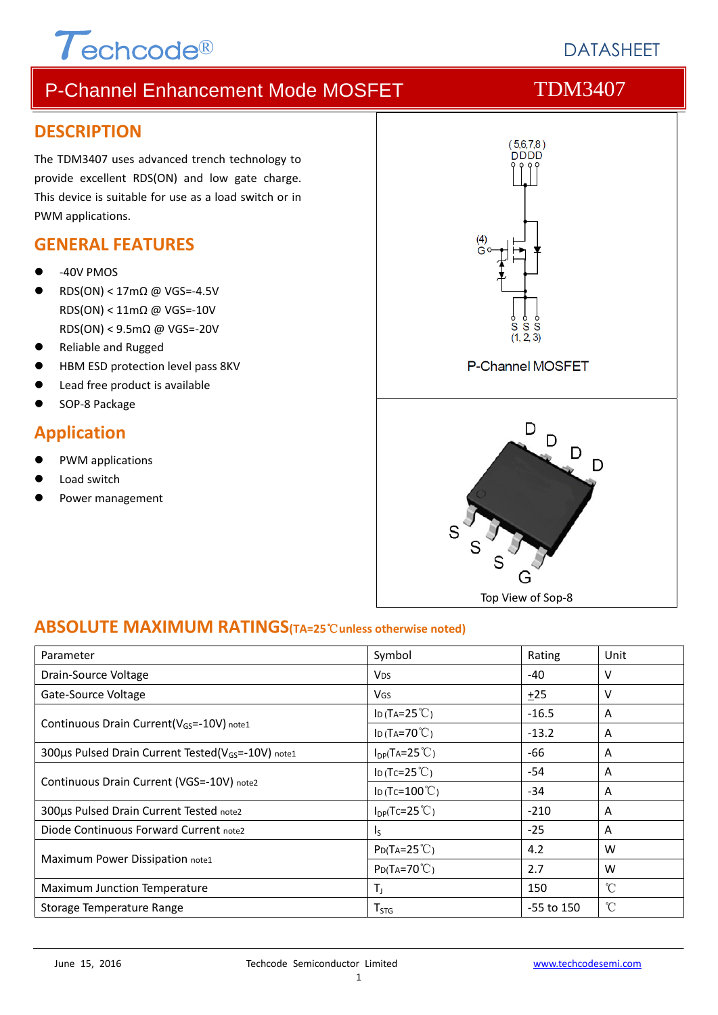# $\tau$ echcode®

## **DATASHEFT**

### P-Channel Enhancement Mode MOSFET TDM3407

#### **DESCRIPTION**

The TDM3407 uses advanced trench technology to provide excellent RDS(ON) and low gate charge. This device is suitable for use as a load switch or in PWM applications.

#### **GENERAL FEATURES**

- ‐40V PMOS
- RDS(ON) < 17mΩ @ VGS=‐4.5V RDS(ON) < 11mΩ @ VGS=‐10V RDS(ON) < 9.5mΩ @ VGS=‐20V
- Reliable and Rugged
- HBM ESD protection level pass 8KV
- Lead free product is available
- SOP‐8 Package

#### **Application**

- PWM applications
- Load switch
- Power management



#### **ABSOLUTE MAXIMUM RATINGS(TA=25**℃**unless otherwise noted)**

| Parameter                                                      | Symbol                   | Rating     | Unit            |
|----------------------------------------------------------------|--------------------------|------------|-----------------|
| Drain-Source Voltage                                           | <b>V<sub>DS</sub></b>    | -40        | v               |
| Gate-Source Voltage                                            | <b>V<sub>GS</sub></b>    | $+25$      | v               |
|                                                                | ID (TA= $25^{\circ}$ C)  | $-16.5$    | A               |
| Continuous Drain Current( $V_{GS}$ =-10V) note1                | ID (TA=70 $°C$ )         | $-13.2$    | A               |
| 300us Pulsed Drain Current Tested(V <sub>GS</sub> =-10V) note1 | $I_{DP}(Ta=25^{\circ}C)$ | -66        | A               |
|                                                                | ID (Tc=25 $°C$ )         | -54        | A               |
| Continuous Drain Current (VGS=-10V) note2                      | ID (Tc= $100^{\circ}$ C) | $-34$      | A               |
| 300us Pulsed Drain Current Tested note2                        | $I_{DP}(Tc=25^{\circ}C)$ | $-210$     | A               |
| Diode Continuous Forward Current note2                         | I <sub>S</sub>           | $-25$      | A               |
|                                                                | $P_{D}(Ta=25^{\circ}C)$  | 4.2        | W               |
| Maximum Power Dissipation note1                                | $P_{D}(Ta=70^{\circ}C)$  | 2.7        | W               |
| Maximum Junction Temperature                                   | $T_{J}$                  | 150        | $\rm ^{\circ}C$ |
| Storage Temperature Range                                      | $T_{STG}$                | -55 to 150 | °C              |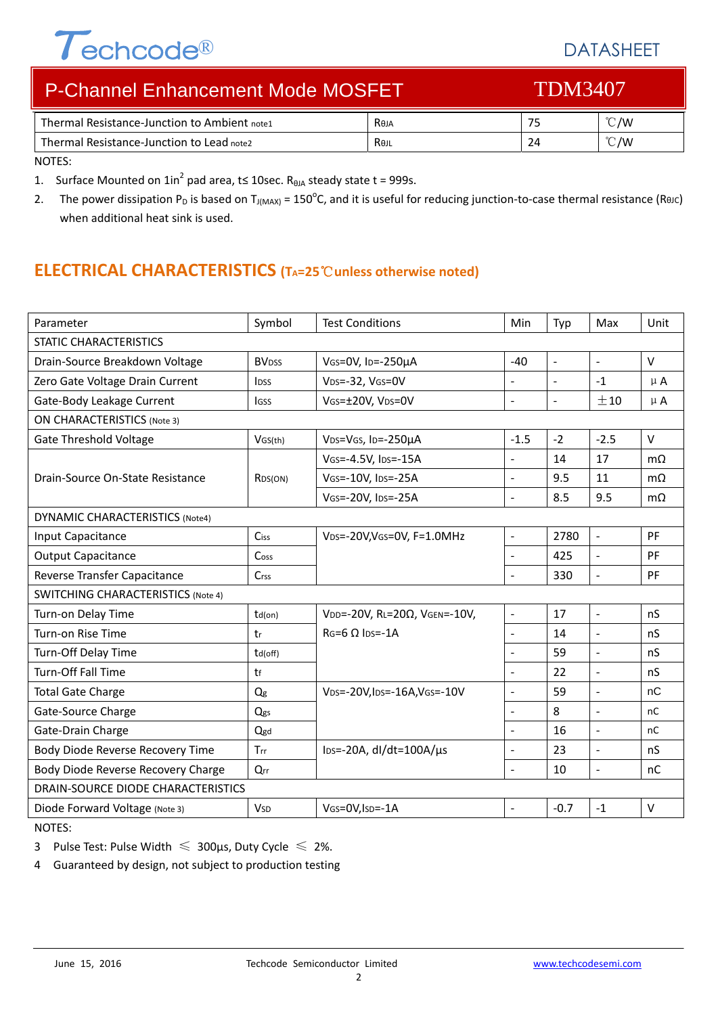# Techcode®

### DATASHEET

| <b>P-Channel Enhancement Mode MOSFET</b>     |      | <b>TDM3407</b> |                |
|----------------------------------------------|------|----------------|----------------|
| Thermal Resistance-Junction to Ambient note1 | Reja | 75             | $^{\circ}$ C/W |
| Thermal Resistance-Junction to Lead note2    | Rejl | 24             | $\degree$ C/W  |

NOTES:

1. Surface Mounted on  $1in^2$  pad area, t is 10sec. R<sub>θJA</sub> steady state t = 999s.

2. The power dissipation P<sub>D</sub> is based on T<sub>J(MAX)</sub> = 150<sup>o</sup>C, and it is useful for reducing junction-to-case thermal resistance (ReJC) when additional heat sink is used.

#### **ELECTRICAL CHARACTERISTICS (TA=25**℃**unless otherwise noted)**

| Parameter                                 | Symbol                   | <b>Test Conditions</b>                  | Min                      | Typ            | Max                      | Unit      |
|-------------------------------------------|--------------------------|-----------------------------------------|--------------------------|----------------|--------------------------|-----------|
| <b>STATIC CHARACTERISTICS</b>             |                          |                                         |                          |                |                          |           |
| Drain-Source Breakdown Voltage            | <b>BV</b> <sub>DSS</sub> | VGS=0V, ID=-250µA                       | $-40$                    | $\Box$         | $\equiv$                 | $\vee$    |
| Zero Gate Voltage Drain Current           | IDSS                     | VDS=-32, VGS=0V                         | $\overline{a}$           | $\blacksquare$ | $-1$                     | $\mu$ A   |
| Gate-Body Leakage Current                 | lgss                     | VGS=±20V, VDS=0V                        | $\overline{a}$           | $\blacksquare$ | ±10                      | $\mu$ A   |
| <b>ON CHARACTERISTICS (Note 3)</b>        |                          |                                         |                          |                |                          |           |
| <b>Gate Threshold Voltage</b>             | VGS(th)                  | VDS=VGS, ID=-250µA                      | $-1.5$                   | $-2$           | $-2.5$                   | $\vee$    |
|                                           |                          | VGS=-4.5V, IDS=-15A                     | $\overline{a}$           | 14             | 17                       | $m\Omega$ |
| Drain-Source On-State Resistance          | R <sub>DS</sub> (ON)     | VGS=-10V, IDS=-25A                      | $\overline{a}$           | 9.5            | 11                       | $m\Omega$ |
|                                           |                          | VGS=-20V, IDS=-25A                      | $\overline{a}$           | 8.5            | 9.5                      | $m\Omega$ |
| <b>DYNAMIC CHARACTERISTICS (Note4)</b>    |                          |                                         |                          |                |                          |           |
| Input Capacitance                         | Ciss                     | VDS=-20V, VGS=0V, F=1.0MHz              | $\overline{\phantom{a}}$ | 2780           | $\blacksquare$           | PF        |
| <b>Output Capacitance</b>                 | Coss                     |                                         | $\overline{a}$           | 425            | $\overline{\phantom{a}}$ | PF        |
| Reverse Transfer Capacitance              | Crss                     |                                         | $\overline{a}$           | 330            | $\frac{1}{2}$            | PF        |
| <b>SWITCHING CHARACTERISTICS (Note 4)</b> |                          |                                         |                          |                |                          |           |
| Turn-on Delay Time                        | $td($ on)                | VDD=-20V, RL=20Ω, VGEN=-10V,            | $\overline{\phantom{a}}$ | 17             | $\omega$                 | nS        |
| Turn-on Rise Time                         | tr                       | $RG=6$ $\Omega$ lps=-1A                 | $\overline{a}$           | 14             | $\overline{\phantom{a}}$ | nS        |
| Turn-Off Delay Time                       | td(off)                  |                                         | $\overline{a}$           | 59             | ÷,                       | nS        |
| Turn-Off Fall Time                        | tf                       |                                         | $\overline{a}$           | 22             | $\overline{a}$           | nS        |
| <b>Total Gate Charge</b>                  | Q <sub>g</sub>           | VDS=-20V, IDS=-16A, VGS=-10V            | $\overline{a}$           | 59             | $\overline{a}$           | nC        |
| Gate-Source Charge                        | Qgs                      |                                         | $\overline{a}$           | 8              | $\Box$                   | nC        |
| Gate-Drain Charge                         | Qgd                      |                                         |                          | 16             | $\frac{1}{2}$            | nC        |
| Body Diode Reverse Recovery Time          | Trr                      | $\text{los}$ =-20A, dl/dt=100A/ $\mu$ s | $\overline{a}$           | 23             | $\overline{a}$           | nS        |
| Body Diode Reverse Recovery Charge        | Qrr                      |                                         | L.                       | 10             | $\blacksquare$           | nC        |
| DRAIN-SOURCE DIODE CHARACTERISTICS        |                          |                                         |                          |                |                          |           |
| Diode Forward Voltage (Note 3)            | <b>V<sub>SD</sub></b>    | VGS=0V, ISD=-1A                         | $\overline{\phantom{a}}$ | $-0.7$         | $-1$                     | $\vee$    |

NOTES:

3 Pulse Test: Pulse Width  $\leq 300$ μs, Duty Cycle  $\leq 2\%$ .

4 Guaranteed by design, not subject to production testing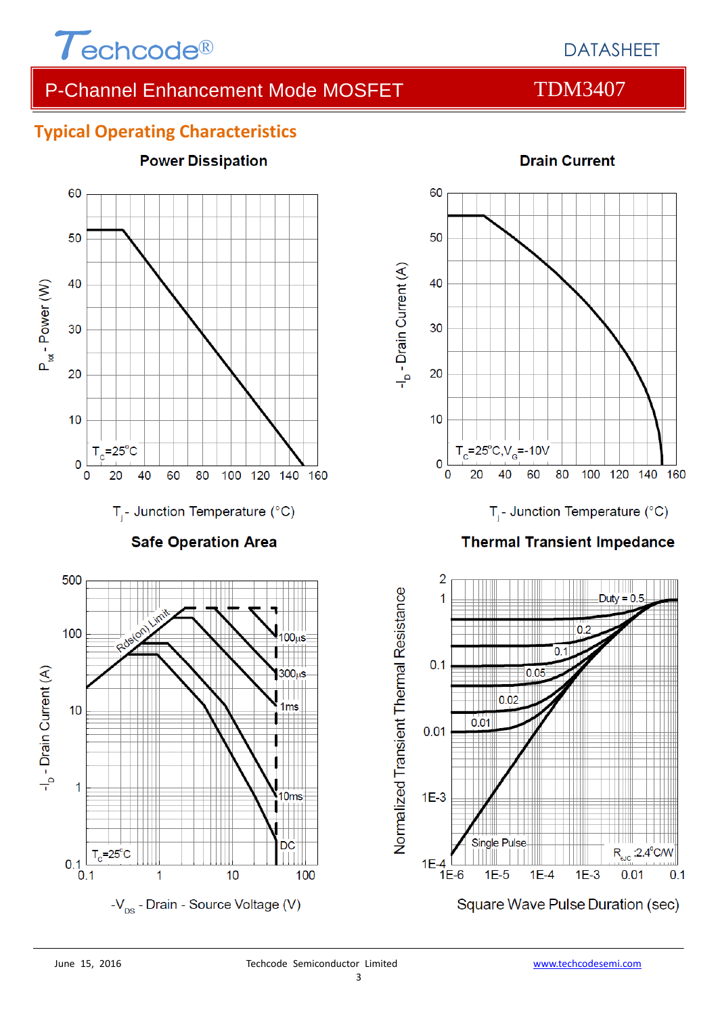

#### DATASHEET

### P-Channel Enhancement Mode MOSFET TDM3407

#### **Typical Operating Characteristics**



#### **Drain Current**

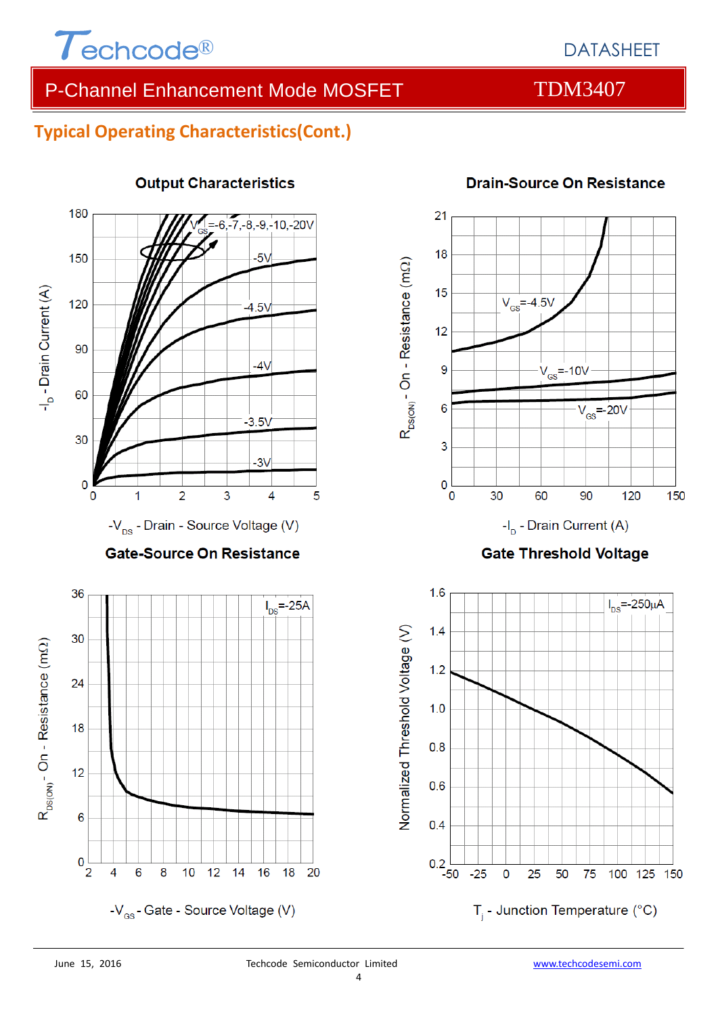

#### DATASHEET

#### P-Channel Enhancement Mode MOSFET TDM3407

#### **Typical Operating Characteristics(Cont.)**



#### **Output Characteristics**



#### **Drain-Source On Resistance**

**Gate Threshold Voltage** 

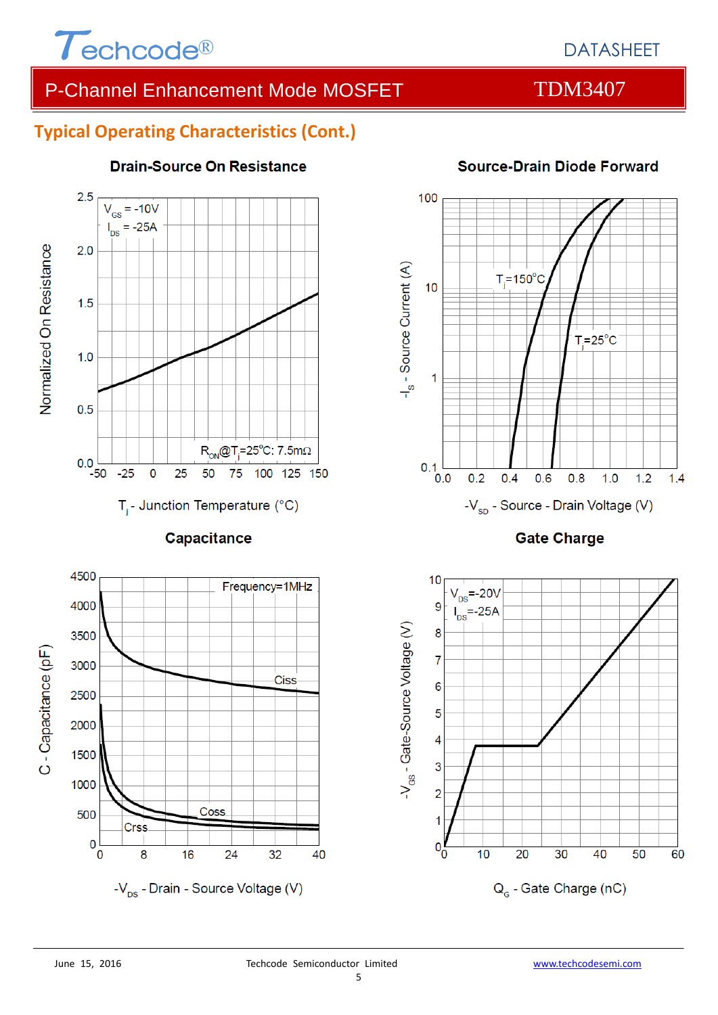

### P-Channel Enhancement Mode MOSFET TDM3407

#### **Typical Operating Characteristics (Cont.)**



#### **Drain-Source On Resistance**





#### 100 -I<sub>s</sub> - Source Current (A)  $T_i = 150$ °C  $10$  $T_i = 25$ °C  $\overline{1}$  $0.1$ <sub>0.0</sub>  $0.2$  $0.4$  $0.6$  $0.8$  $1.0$  $1.2$  $1.4$

**Gate Charge** 

-V<sub>sp</sub> - Source - Drain Voltage (V)



#### Source-Drain Diode Forward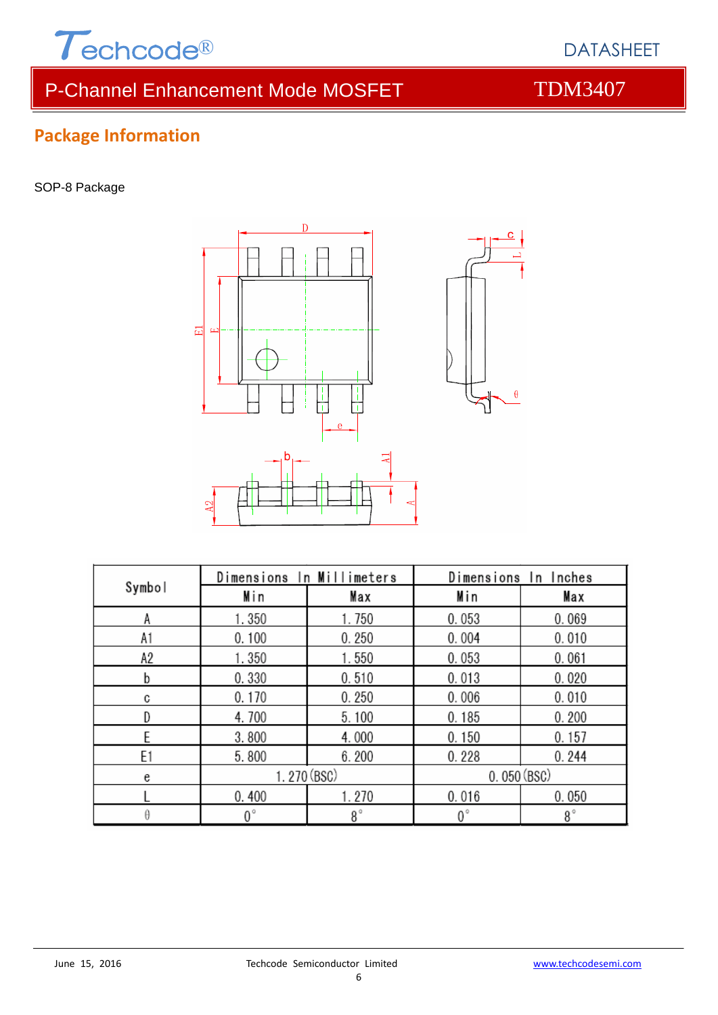

# P-Channel Enhancement Mode MOSFET TDM3407



DATASHEET

# **Package Information**

SOP-8 Package



| Symbol | Dimensions In Millimeters |             | Dimensions In Inches |             |  |
|--------|---------------------------|-------------|----------------------|-------------|--|
|        | Min                       | Max         | Min                  | Max         |  |
| А      | 1.350                     | 1.750       | 0.053                | 0.069       |  |
| A1     | 0.100                     | 0.250       | 0.004                | 0.010       |  |
| А2     | 1.350                     | 1.550       | 0.053                | 0.061       |  |
| b      | 0.330                     | 0.510       | 0.013                | 0.020       |  |
| C      | 0.170                     | 0.250       | 0.006                | 0.010       |  |
|        | 4.700                     | 5.100       | 0.185                | 0.200       |  |
| F      | 3.800                     | 4.000       | 0.150                | 0.157       |  |
| E1     | 5.800                     | 6.200       | 0.228                | 0.244       |  |
| e      | 1.270 (BSC)               |             | 0.050(BSC)           |             |  |
|        | 0.400                     | 1.270       | 0.016                | 0.050       |  |
|        | $0^{\circ}$               | $8^{\circ}$ | 0°                   | $8^{\circ}$ |  |